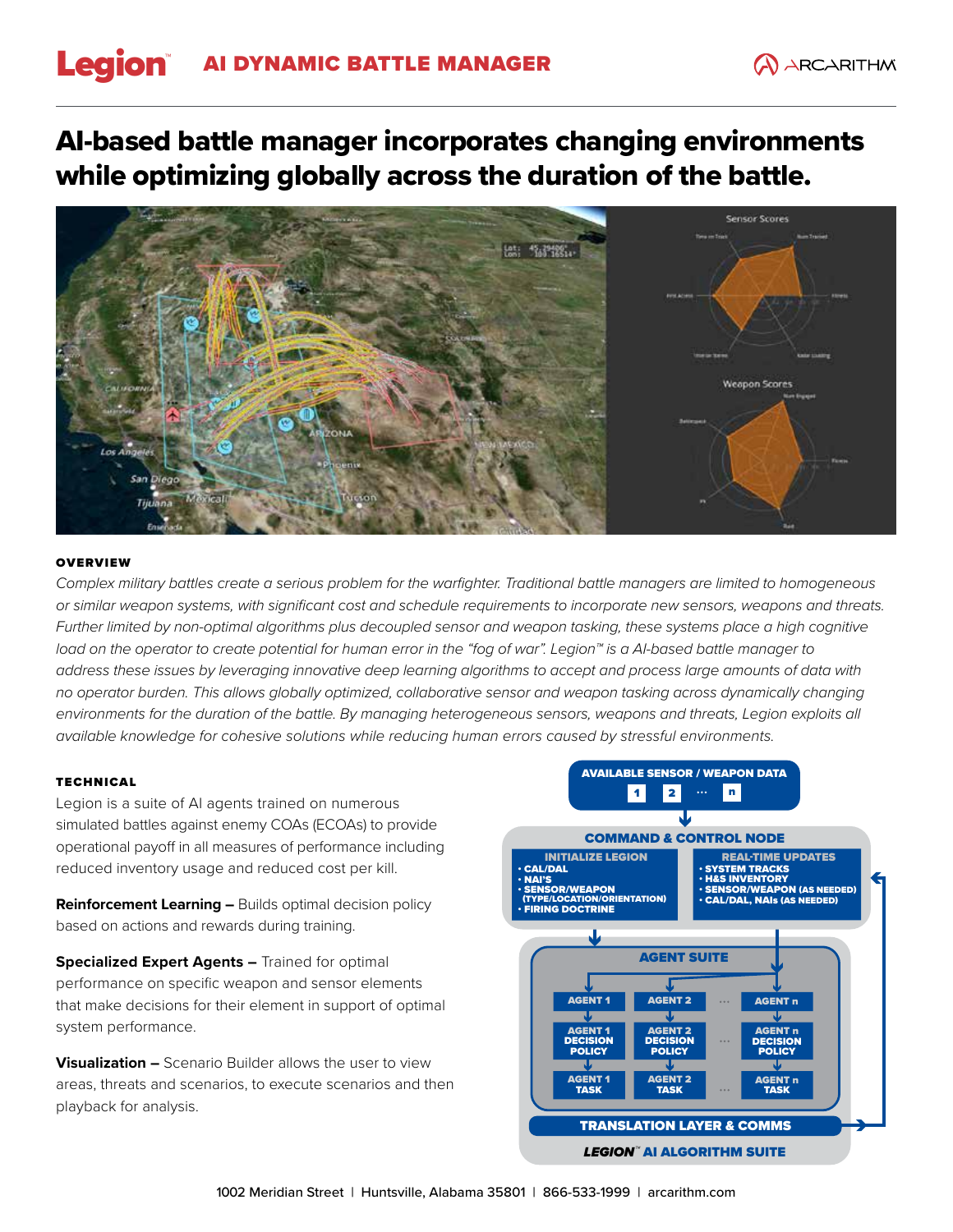# **Legion** AI DYNAMIC BATTLE MANAGER

# AI-based battle manager incorporates changing environments while optimizing globally across the duration of the battle.



## **OVERVIEW**

*Complex military battles create a serious problem for the warfighter. Traditional battle managers are limited to homogeneous or similar weapon systems, with significant cost and schedule requirements to incorporate new sensors, weapons and threats. Further limited by non-optimal algorithms plus decoupled sensor and weapon tasking, these systems place a high cognitive load on the operator to create potential for human error in the "fog of war". Legion™ is a AI-based battle manager to address these issues by leveraging innovative deep learning algorithms to accept and process large amounts of data with no operator burden. This allows globally optimized, collaborative sensor and weapon tasking across dynamically changing environments for the duration of the battle. By managing heterogeneous sensors, weapons and threats, Legion exploits all available knowledge for cohesive solutions while reducing human errors caused by stressful environments.*

## TECHNICAL

Legion is a suite of AI agents trained on numerous simulated battles against enemy COAs (ECOAs) to provide operational payoff in all measures of performance including reduced inventory usage and reduced cost per kill.

**Reinforcement Learning –** Builds optimal decision policy based on actions and rewards during training.

**Specialized Expert Agents – Trained for optimal** performance on specific weapon and sensor elements that make decisions for their element in support of optimal system performance.

**Visualization –** Scenario Builder allows the user to view areas, threats and scenarios, to execute scenarios and then playback for analysis.